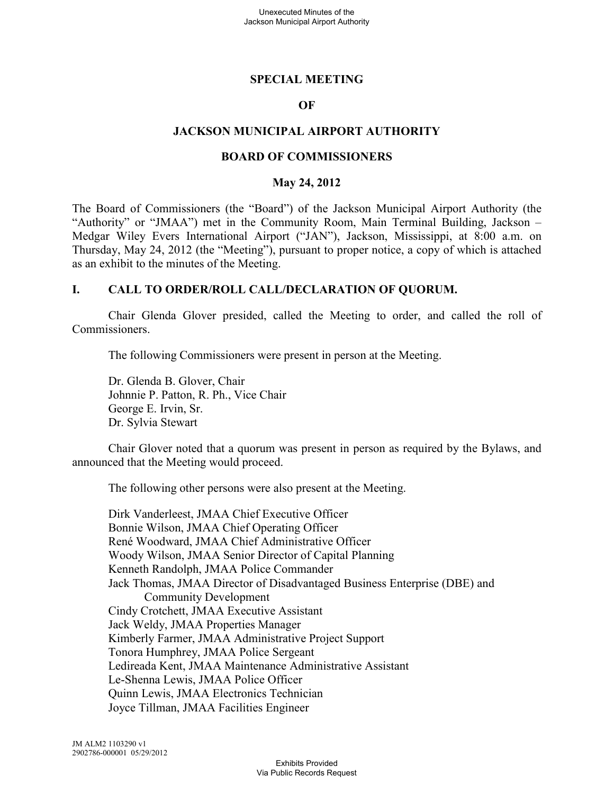### **SPECIAL MEETING**

### **OF**

### **JACKSON MUNICIPAL AIRPORT AUTHORITY**

#### **BOARD OF COMMISSIONERS**

#### **May 24, 2012**

The Board of Commissioners (the "Board") of the Jackson Municipal Airport Authority (the "Authority" or "JMAA") met in the Community Room, Main Terminal Building, Jackson – Medgar Wiley Evers International Airport ("JAN"), Jackson, Mississippi, at 8:00 a.m. on Thursday, May 24, 2012 (the "Meeting"), pursuant to proper notice, a copy of which is attached as an exhibit to the minutes of the Meeting.

#### **I. CALL TO ORDER/ROLL CALL/DECLARATION OF QUORUM.**

Chair Glenda Glover presided, called the Meeting to order, and called the roll of Commissioners.

The following Commissioners were present in person at the Meeting.

Dr. Glenda B. Glover, Chair Johnnie P. Patton, R. Ph., Vice Chair George E. Irvin, Sr. Dr. Sylvia Stewart

Chair Glover noted that a quorum was present in person as required by the Bylaws, and announced that the Meeting would proceed.

The following other persons were also present at the Meeting.

Dirk Vanderleest, JMAA Chief Executive Officer Bonnie Wilson, JMAA Chief Operating Officer René Woodward, JMAA Chief Administrative Officer Woody Wilson, JMAA Senior Director of Capital Planning Kenneth Randolph, JMAA Police Commander Jack Thomas, JMAA Director of Disadvantaged Business Enterprise (DBE) and Community Development Cindy Crotchett, JMAA Executive Assistant Jack Weldy, JMAA Properties Manager Kimberly Farmer, JMAA Administrative Project Support Tonora Humphrey, JMAA Police Sergeant Ledireada Kent, JMAA Maintenance Administrative Assistant Le-Shenna Lewis, JMAA Police Officer Quinn Lewis, JMAA Electronics Technician Joyce Tillman, JMAA Facilities Engineer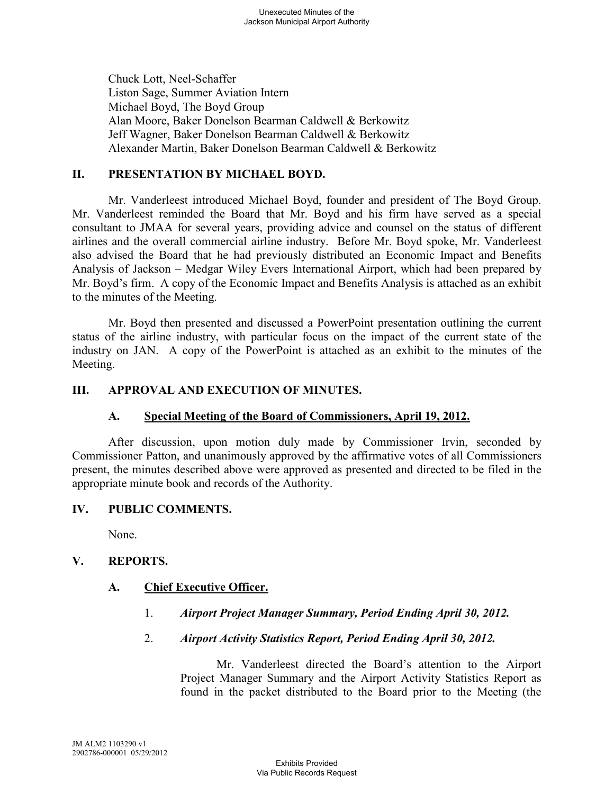Chuck Lott, Neel-Schaffer Liston Sage, Summer Aviation Intern Michael Boyd, The Boyd Group Alan Moore, Baker Donelson Bearman Caldwell & Berkowitz Jeff Wagner, Baker Donelson Bearman Caldwell & Berkowitz Alexander Martin, Baker Donelson Bearman Caldwell & Berkowitz

## **II. PRESENTATION BY MICHAEL BOYD.**

Mr. Vanderleest introduced Michael Boyd, founder and president of The Boyd Group. Mr. Vanderleest reminded the Board that Mr. Boyd and his firm have served as a special consultant to JMAA for several years, providing advice and counsel on the status of different airlines and the overall commercial airline industry. Before Mr. Boyd spoke, Mr. Vanderleest also advised the Board that he had previously distributed an Economic Impact and Benefits Analysis of Jackson – Medgar Wiley Evers International Airport, which had been prepared by Mr. Boyd's firm. A copy of the Economic Impact and Benefits Analysis is attached as an exhibit to the minutes of the Meeting.

Mr. Boyd then presented and discussed a PowerPoint presentation outlining the current status of the airline industry, with particular focus on the impact of the current state of the industry on JAN. A copy of the PowerPoint is attached as an exhibit to the minutes of the Meeting.

## **III. APPROVAL AND EXECUTION OF MINUTES.**

## **A. Special Meeting of the Board of Commissioners, April 19, 2012.**

After discussion, upon motion duly made by Commissioner Irvin, seconded by Commissioner Patton, and unanimously approved by the affirmative votes of all Commissioners present, the minutes described above were approved as presented and directed to be filed in the appropriate minute book and records of the Authority.

## **IV. PUBLIC COMMENTS.**

None.

## **V. REPORTS.**

## **A. Chief Executive Officer.**

1. *Airport Project Manager Summary, Period Ending April 30, 2012.* 

## 2. *Airport Activity Statistics Report, Period Ending April 30, 2012.*

Mr. Vanderleest directed the Board's attention to the Airport Project Manager Summary and the Airport Activity Statistics Report as found in the packet distributed to the Board prior to the Meeting (the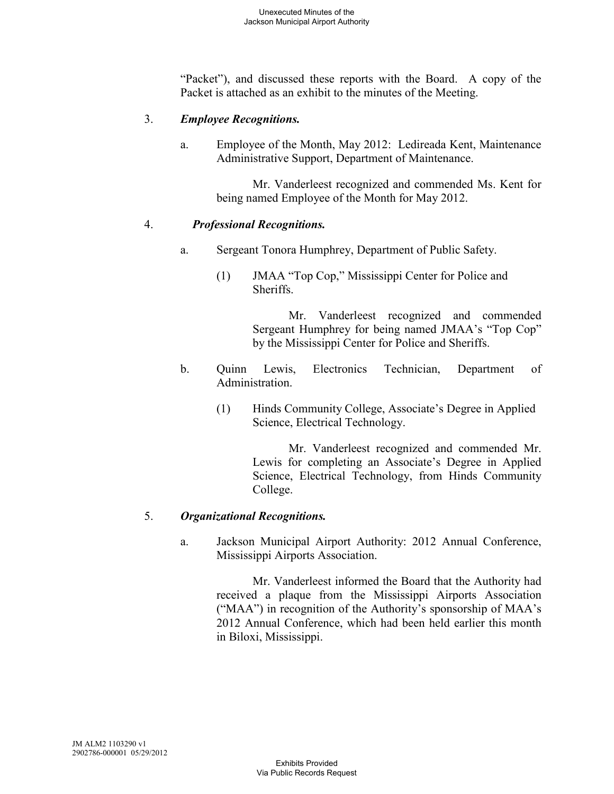"Packet"), and discussed these reports with the Board. A copy of the Packet is attached as an exhibit to the minutes of the Meeting.

## 3. *Employee Recognitions.*

a. Employee of the Month, May 2012: Ledireada Kent, Maintenance Administrative Support, Department of Maintenance.

> Mr. Vanderleest recognized and commended Ms. Kent for being named Employee of the Month for May 2012.

## 4. *Professional Recognitions.*

- a. Sergeant Tonora Humphrey, Department of Public Safety.
	- (1) JMAA "Top Cop," Mississippi Center for Police and Sheriffs.

Mr. Vanderleest recognized and commended Sergeant Humphrey for being named JMAA's "Top Cop" by the Mississippi Center for Police and Sheriffs.

- b. Quinn Lewis, Electronics Technician, Department of Administration.
	- (1) Hinds Community College, Associate's Degree in Applied Science, Electrical Technology.

Mr. Vanderleest recognized and commended Mr. Lewis for completing an Associate's Degree in Applied Science, Electrical Technology, from Hinds Community College.

## 5. *Organizational Recognitions.*

a. Jackson Municipal Airport Authority: 2012 Annual Conference, Mississippi Airports Association.

> Mr. Vanderleest informed the Board that the Authority had received a plaque from the Mississippi Airports Association ("MAA") in recognition of the Authority's sponsorship of MAA's 2012 Annual Conference, which had been held earlier this month in Biloxi, Mississippi.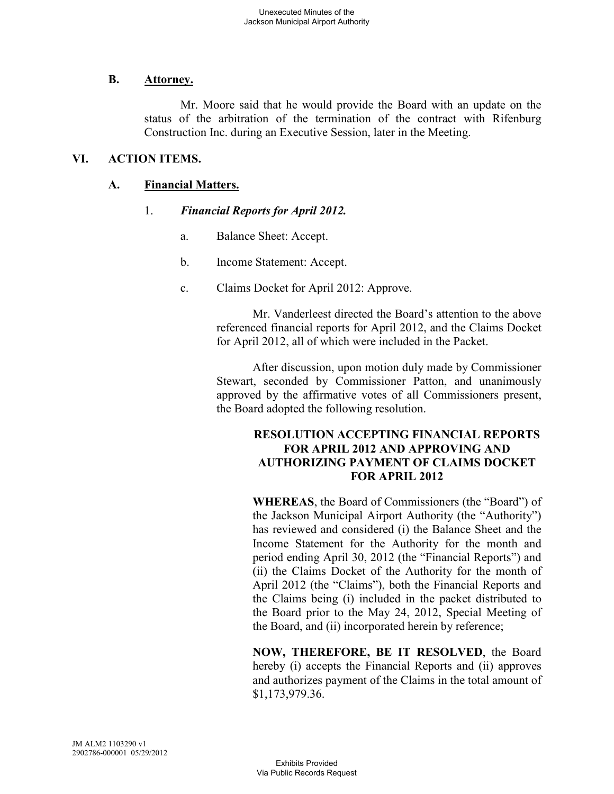## **B. Attorney.**

Mr. Moore said that he would provide the Board with an update on the status of the arbitration of the termination of the contract with Rifenburg Construction Inc. during an Executive Session, later in the Meeting.

## **VI. ACTION ITEMS.**

## **A. Financial Matters.**

## 1. *Financial Reports for April 2012.*

- a. Balance Sheet: Accept.
- b. Income Statement: Accept.
- c. Claims Docket for April 2012: Approve.

Mr. Vanderleest directed the Board's attention to the above referenced financial reports for April 2012, and the Claims Docket for April 2012, all of which were included in the Packet.

After discussion, upon motion duly made by Commissioner Stewart, seconded by Commissioner Patton, and unanimously approved by the affirmative votes of all Commissioners present, the Board adopted the following resolution.

### **RESOLUTION ACCEPTING FINANCIAL REPORTS FOR APRIL 2012 AND APPROVING AND AUTHORIZING PAYMENT OF CLAIMS DOCKET FOR APRIL 2012**

**WHEREAS**, the Board of Commissioners (the "Board") of the Jackson Municipal Airport Authority (the "Authority") has reviewed and considered (i) the Balance Sheet and the Income Statement for the Authority for the month and period ending April 30, 2012 (the "Financial Reports") and (ii) the Claims Docket of the Authority for the month of April 2012 (the "Claims"), both the Financial Reports and the Claims being (i) included in the packet distributed to the Board prior to the May 24, 2012, Special Meeting of the Board, and (ii) incorporated herein by reference;

**NOW, THEREFORE, BE IT RESOLVED**, the Board hereby (i) accepts the Financial Reports and (ii) approves and authorizes payment of the Claims in the total amount of \$1,173,979.36.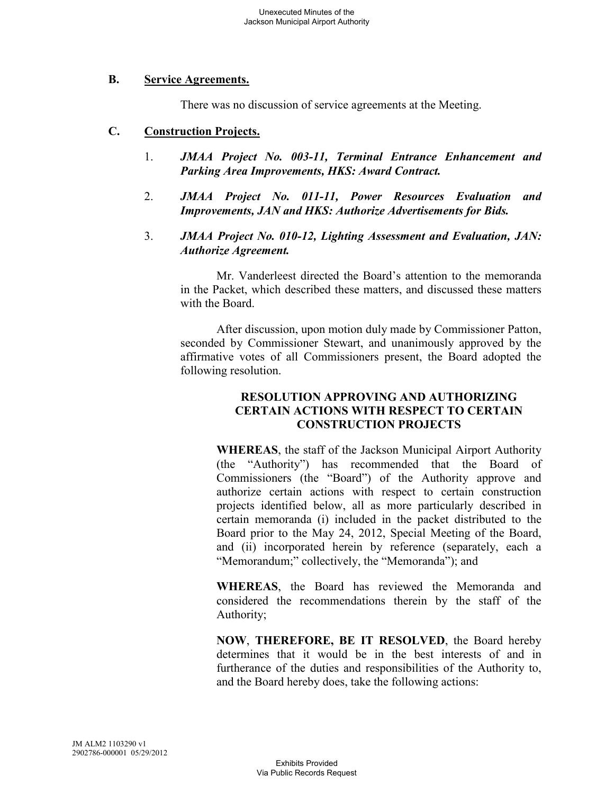### **B. Service Agreements.**

There was no discussion of service agreements at the Meeting.

### **C. Construction Projects.**

- 1. *JMAA Project No. 003-11, Terminal Entrance Enhancement and Parking Area Improvements, HKS: Award Contract.*
- 2. *JMAA Project No. 011-11, Power Resources Evaluation and Improvements, JAN and HKS: Authorize Advertisements for Bids.*
- 3. *JMAA Project No. 010-12, Lighting Assessment and Evaluation, JAN: Authorize Agreement.*

Mr. Vanderleest directed the Board's attention to the memoranda in the Packet, which described these matters, and discussed these matters with the Board.

After discussion, upon motion duly made by Commissioner Patton, seconded by Commissioner Stewart, and unanimously approved by the affirmative votes of all Commissioners present, the Board adopted the following resolution.

### **RESOLUTION APPROVING AND AUTHORIZING CERTAIN ACTIONS WITH RESPECT TO CERTAIN CONSTRUCTION PROJECTS**

**WHEREAS**, the staff of the Jackson Municipal Airport Authority (the "Authority") has recommended that the Board of Commissioners (the "Board") of the Authority approve and authorize certain actions with respect to certain construction projects identified below, all as more particularly described in certain memoranda (i) included in the packet distributed to the Board prior to the May 24, 2012, Special Meeting of the Board, and (ii) incorporated herein by reference (separately, each a "Memorandum;" collectively, the "Memoranda"); and

**WHEREAS**, the Board has reviewed the Memoranda and considered the recommendations therein by the staff of the Authority;

**NOW**, **THEREFORE, BE IT RESOLVED**, the Board hereby determines that it would be in the best interests of and in furtherance of the duties and responsibilities of the Authority to, and the Board hereby does, take the following actions: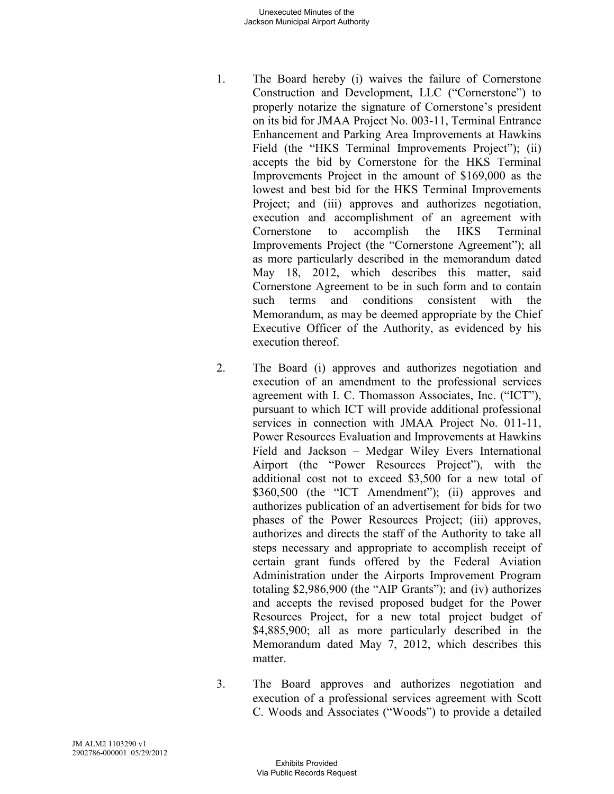- 1. The Board hereby (i) waives the failure of Cornerstone Construction and Development, LLC ("Cornerstone") to properly notarize the signature of Cornerstone's president on its bid for JMAA Project No. 003-11, Terminal Entrance Enhancement and Parking Area Improvements at Hawkins Field (the "HKS Terminal Improvements Project"); (ii) accepts the bid by Cornerstone for the HKS Terminal Improvements Project in the amount of \$169,000 as the lowest and best bid for the HKS Terminal Improvements Project; and (iii) approves and authorizes negotiation, execution and accomplishment of an agreement with Cornerstone to accomplish the HKS Terminal Improvements Project (the "Cornerstone Agreement"); all as more particularly described in the memorandum dated May 18, 2012, which describes this matter, said Cornerstone Agreement to be in such form and to contain such terms and conditions consistent with the Memorandum, as may be deemed appropriate by the Chief Executive Officer of the Authority, as evidenced by his execution thereof.
- 2. The Board (i) approves and authorizes negotiation and execution of an amendment to the professional services agreement with I. C. Thomasson Associates, Inc. ("ICT"), pursuant to which ICT will provide additional professional services in connection with JMAA Project No. 011-11, Power Resources Evaluation and Improvements at Hawkins Field and Jackson – Medgar Wiley Evers International Airport (the "Power Resources Project"), with the additional cost not to exceed \$3,500 for a new total of \$360,500 (the "ICT Amendment"); (ii) approves and authorizes publication of an advertisement for bids for two phases of the Power Resources Project; (iii) approves, authorizes and directs the staff of the Authority to take all steps necessary and appropriate to accomplish receipt of certain grant funds offered by the Federal Aviation Administration under the Airports Improvement Program totaling \$2,986,900 (the "AIP Grants"); and (iv) authorizes and accepts the revised proposed budget for the Power Resources Project, for a new total project budget of \$4,885,900; all as more particularly described in the Memorandum dated May 7, 2012, which describes this matter.
- 3. The Board approves and authorizes negotiation and execution of a professional services agreement with Scott C. Woods and Associates ("Woods") to provide a detailed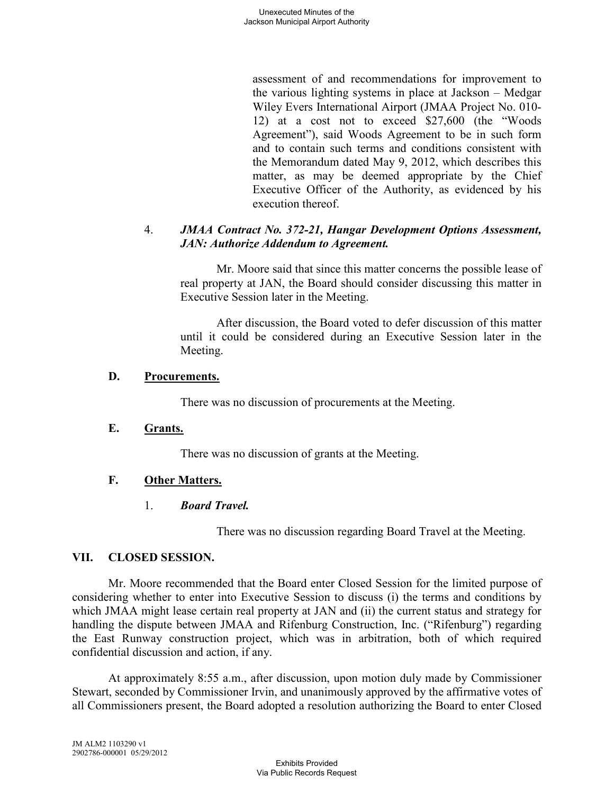assessment of and recommendations for improvement to the various lighting systems in place at Jackson – Medgar Wiley Evers International Airport (JMAA Project No. 010- 12) at a cost not to exceed \$27,600 (the "Woods Agreement"), said Woods Agreement to be in such form and to contain such terms and conditions consistent with the Memorandum dated May 9, 2012, which describes this matter, as may be deemed appropriate by the Chief Executive Officer of the Authority, as evidenced by his execution thereof.

### 4. *JMAA Contract No. 372-21, Hangar Development Options Assessment, JAN: Authorize Addendum to Agreement.*

Mr. Moore said that since this matter concerns the possible lease of real property at JAN, the Board should consider discussing this matter in Executive Session later in the Meeting.

After discussion, the Board voted to defer discussion of this matter until it could be considered during an Executive Session later in the Meeting.

## **D. Procurements.**

There was no discussion of procurements at the Meeting.

## **E. Grants.**

There was no discussion of grants at the Meeting.

# **F. Other Matters.**

# 1. *Board Travel.*

There was no discussion regarding Board Travel at the Meeting.

## **VII. CLOSED SESSION.**

Mr. Moore recommended that the Board enter Closed Session for the limited purpose of considering whether to enter into Executive Session to discuss (i) the terms and conditions by which JMAA might lease certain real property at JAN and (ii) the current status and strategy for handling the dispute between JMAA and Rifenburg Construction, Inc. ("Rifenburg") regarding the East Runway construction project, which was in arbitration, both of which required confidential discussion and action, if any.

At approximately 8:55 a.m., after discussion, upon motion duly made by Commissioner Stewart, seconded by Commissioner Irvin, and unanimously approved by the affirmative votes of all Commissioners present, the Board adopted a resolution authorizing the Board to enter Closed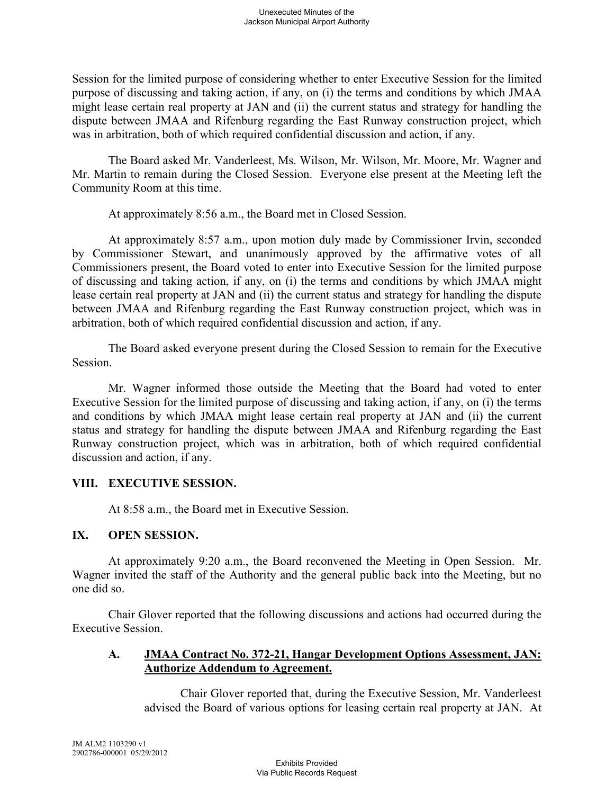Session for the limited purpose of considering whether to enter Executive Session for the limited purpose of discussing and taking action, if any, on (i) the terms and conditions by which JMAA might lease certain real property at JAN and (ii) the current status and strategy for handling the dispute between JMAA and Rifenburg regarding the East Runway construction project, which was in arbitration, both of which required confidential discussion and action, if any.

The Board asked Mr. Vanderleest, Ms. Wilson, Mr. Wilson, Mr. Moore, Mr. Wagner and Mr. Martin to remain during the Closed Session. Everyone else present at the Meeting left the Community Room at this time.

At approximately 8:56 a.m., the Board met in Closed Session.

At approximately 8:57 a.m., upon motion duly made by Commissioner Irvin, seconded by Commissioner Stewart, and unanimously approved by the affirmative votes of all Commissioners present, the Board voted to enter into Executive Session for the limited purpose of discussing and taking action, if any, on (i) the terms and conditions by which JMAA might lease certain real property at JAN and (ii) the current status and strategy for handling the dispute between JMAA and Rifenburg regarding the East Runway construction project, which was in arbitration, both of which required confidential discussion and action, if any.

The Board asked everyone present during the Closed Session to remain for the Executive Session.

Mr. Wagner informed those outside the Meeting that the Board had voted to enter Executive Session for the limited purpose of discussing and taking action, if any, on (i) the terms and conditions by which JMAA might lease certain real property at JAN and (ii) the current status and strategy for handling the dispute between JMAA and Rifenburg regarding the East Runway construction project, which was in arbitration, both of which required confidential discussion and action, if any.

## **VIII. EXECUTIVE SESSION.**

At 8:58 a.m., the Board met in Executive Session.

## **IX. OPEN SESSION.**

At approximately 9:20 a.m., the Board reconvened the Meeting in Open Session. Mr. Wagner invited the staff of the Authority and the general public back into the Meeting, but no one did so.

Chair Glover reported that the following discussions and actions had occurred during the Executive Session.

### **A. JMAA Contract No. 372-21, Hangar Development Options Assessment, JAN: Authorize Addendum to Agreement.**

Chair Glover reported that, during the Executive Session, Mr. Vanderleest advised the Board of various options for leasing certain real property at JAN. At